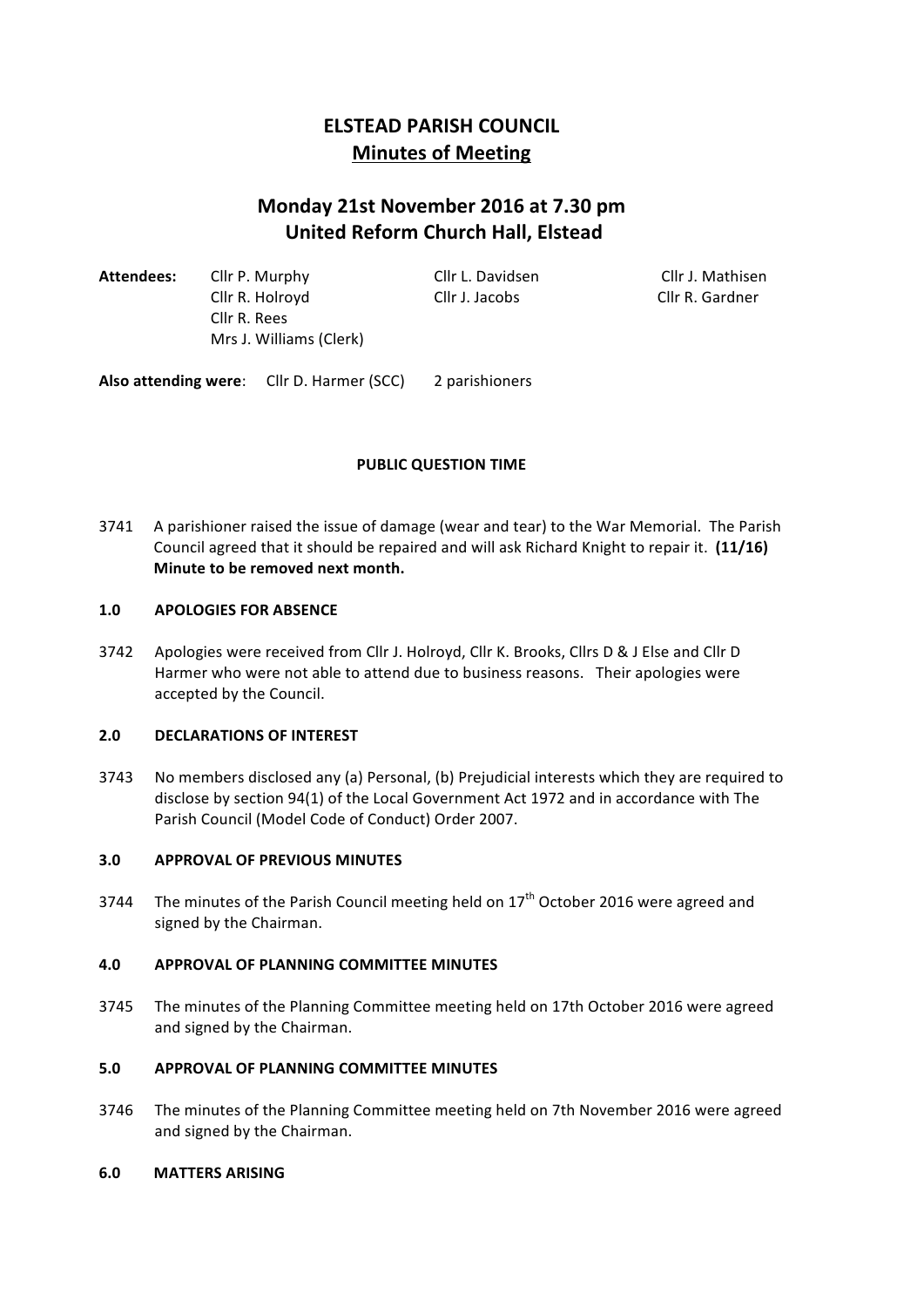# **ELSTEAD PARISH COUNCIL Minutes of Meeting**

# **Monday 21st November 2016 at 7.30 pm United Reform Church Hall, Elstead**

| Attendees: | Cllr P. Murphy          | Cllr L. Davidsen | Cllr J. Mathisen |  |
|------------|-------------------------|------------------|------------------|--|
|            | Cllr R. Holroyd         | Cllr J. Jacobs   | Cllr R. Gardner  |  |
|            | Cllr R. Rees            |                  |                  |  |
|            | Mrs J. Williams (Clerk) |                  |                  |  |
|            |                         |                  |                  |  |

Also attending were: Cllr D. Harmer (SCC) 2 parishioners

# **PUBLIC QUESTION TIME**

3741 A parishioner raised the issue of damage (wear and tear) to the War Memorial. The Parish Council agreed that it should be repaired and will ask Richard Knight to repair it. (11/16) **Minute to be removed next month.** 

#### 1.0 **APOLOGIES FOR ABSENCE**

3742 Apologies were received from Cllr J. Holroyd, Cllr K. Brooks, Cllrs D & J Else and Cllr D Harmer who were not able to attend due to business reasons. Their apologies were accepted by the Council.

#### **2.0 DECLARATIONS OF INTEREST**

3743 No members disclosed any (a) Personal, (b) Prejudicial interests which they are required to disclose by section 94(1) of the Local Government Act 1972 and in accordance with The Parish Council (Model Code of Conduct) Order 2007.

# **3.0 APPROVAL OF PREVIOUS MINUTES**

3744 The minutes of the Parish Council meeting held on  $17<sup>th</sup>$  October 2016 were agreed and signed by the Chairman.

# **4.0 APPROVAL OF PLANNING COMMITTEE MINUTES**

3745 The minutes of the Planning Committee meeting held on 17th October 2016 were agreed and signed by the Chairman.

# **5.0 APPROVAL OF PLANNING COMMITTEE MINUTES**

3746 The minutes of the Planning Committee meeting held on 7th November 2016 were agreed and signed by the Chairman.

#### **6.0 MATTERS ARISING**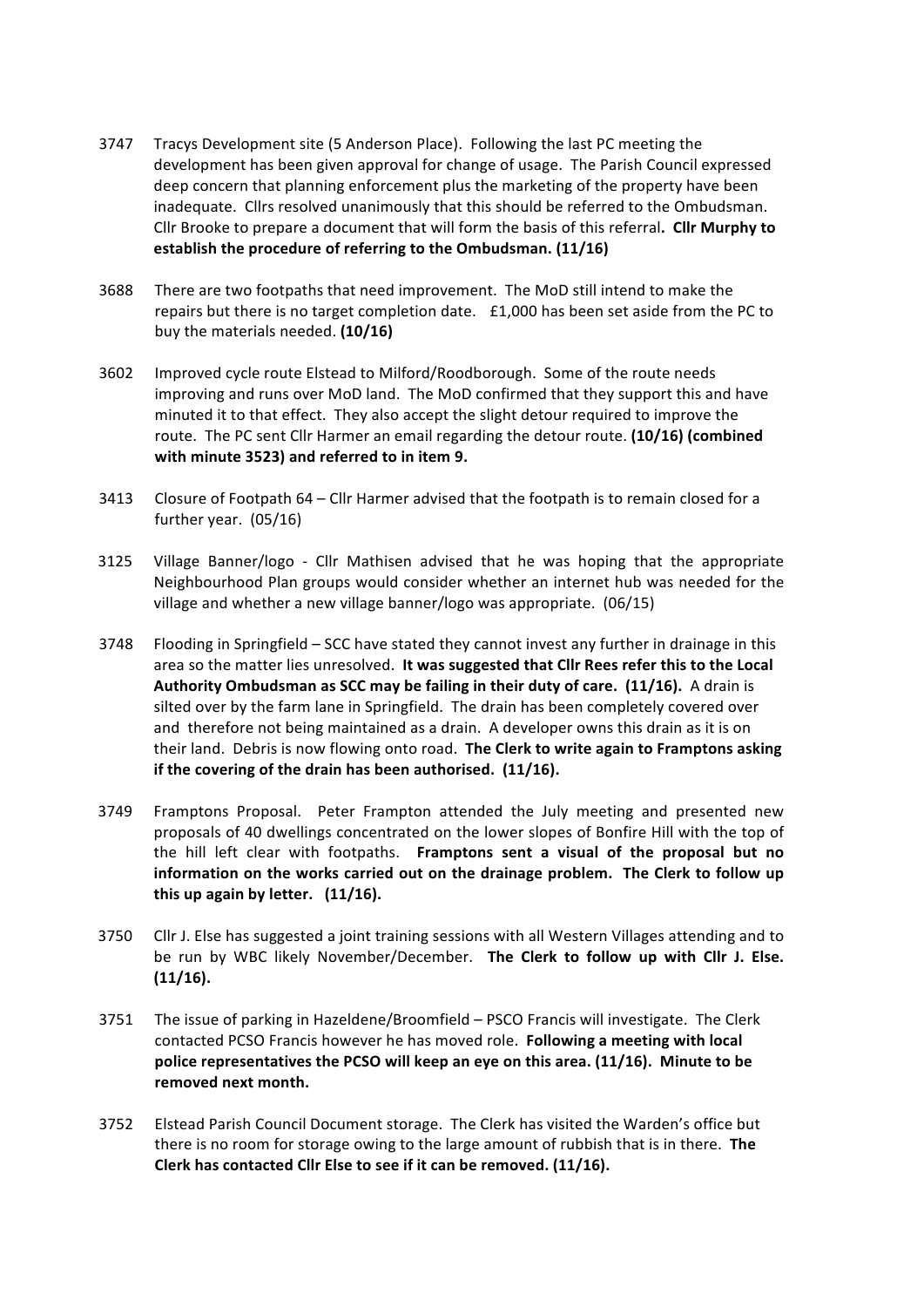- 3747 Tracys Development site (5 Anderson Place). Following the last PC meeting the development has been given approval for change of usage. The Parish Council expressed deep concern that planning enforcement plus the marketing of the property have been inadequate. Cllrs resolved unanimously that this should be referred to the Ombudsman. Cllr Brooke to prepare a document that will form the basis of this referral. Cllr Murphy to establish the procedure of referring to the Ombudsman. (11/16)
- 3688 There are two footpaths that need improvement. The MoD still intend to make the repairs but there is no target completion date.  $£1,000$  has been set aside from the PC to buy the materials needed. **(10/16)**
- 3602 Improved cycle route Elstead to Milford/Roodborough. Some of the route needs improving and runs over MoD land. The MoD confirmed that they support this and have minuted it to that effect. They also accept the slight detour required to improve the route. The PC sent Cllr Harmer an email regarding the detour route. (10/16) (combined with minute 3523) and referred to in item 9.
- 3413 Closure of Footpath  $64 -$  Cllr Harmer advised that the footpath is to remain closed for a further year.  $(05/16)$
- 3125 Village Banner/logo Cllr Mathisen advised that he was hoping that the appropriate Neighbourhood Plan groups would consider whether an internet hub was needed for the village and whether a new village banner/logo was appropriate. (06/15)
- 3748 Flooding in Springfield SCC have stated they cannot invest any further in drainage in this area so the matter lies unresolved. It was suggested that Cllr Rees refer this to the Local **Authority Ombudsman as SCC may be failing in their duty of care. (11/16).** A drain is silted over by the farm lane in Springfield. The drain has been completely covered over and therefore not being maintained as a drain. A developer owns this drain as it is on their land. Debris is now flowing onto road. The Clerk to write again to Framptons asking if the covering of the drain has been authorised. (11/16).
- 3749 Framptons Proposal. Peter Frampton attended the July meeting and presented new proposals of 40 dwellings concentrated on the lower slopes of Bonfire Hill with the top of the hill left clear with footpaths. Framptons sent a visual of the proposal but no information on the works carried out on the drainage problem. The Clerk to follow up **this up again by letter.** (11/16).
- 3750 Cllr J. Else has suggested a joint training sessions with all Western Villages attending and to be run by WBC likely November/December. The Clerk to follow up with Cllr J. Else. **(11/16).**
- 3751 The issue of parking in Hazeldene/Broomfield PSCO Francis will investigate. The Clerk contacted PCSO Francis however he has moved role. Following a meeting with local **police representatives the PCSO will keep an eye on this area. (11/16). Minute to be** removed next month.
- 3752 Elstead Parish Council Document storage. The Clerk has visited the Warden's office but there is no room for storage owing to the large amount of rubbish that is in there. The Clerk has contacted Cllr Else to see if it can be removed. (11/16).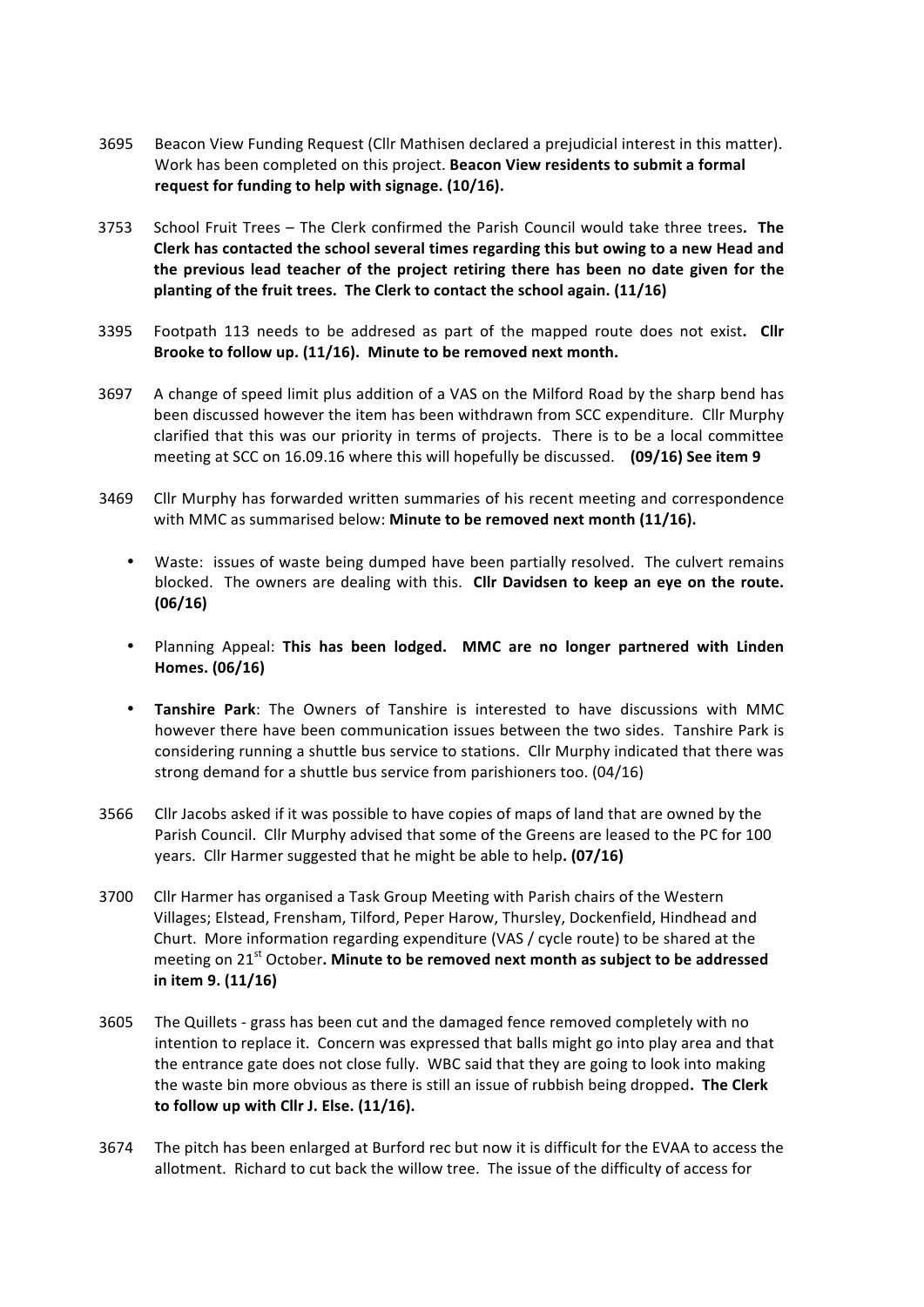- 3695 Beacon View Funding Request (Cllr Mathisen declared a prejudicial interest in this matter). Work has been completed on this project. **Beacon View residents to submit a formal** request for funding to help with signage. (10/16).
- 3753 School Fruit Trees The Clerk confirmed the Parish Council would take three trees. The Clerk has contacted the school several times regarding this but owing to a new Head and the previous lead teacher of the project retiring there has been no date given for the **planting of the fruit trees. The Clerk to contact the school again. (11/16)**
- 3395 Footpath 113 needs to be addresed as part of the mapped route does not exist. Cllr Brooke to follow up. (11/16). Minute to be removed next month.
- 3697 A change of speed limit plus addition of a VAS on the Milford Road by the sharp bend has been discussed however the item has been withdrawn from SCC expenditure. Cllr Murphy clarified that this was our priority in terms of projects. There is to be a local committee meeting at SCC on 16.09.16 where this will hopefully be discussed. **(09/16) See item 9**
- 3469 Cllr Murphy has forwarded written summaries of his recent meeting and correspondence with MMC as summarised below: Minute to be removed next month (11/16).
	- Waste: issues of waste being dumped have been partially resolved. The culvert remains blocked. The owners are dealing with this. Cllr Davidsen to keep an eye on the route. **(06/16)**
	- Planning Appeal: This has been lodged. MMC are no longer partnered with Linden **Homes. (06/16)**
	- **Tanshire Park:** The Owners of Tanshire is interested to have discussions with MMC however there have been communication issues between the two sides. Tanshire Park is considering running a shuttle bus service to stations. Cllr Murphy indicated that there was strong demand for a shuttle bus service from parishioners too. (04/16)
- 3566 Cllr Jacobs asked if it was possible to have copies of maps of land that are owned by the Parish Council. Cllr Murphy advised that some of the Greens are leased to the PC for 100 years. Cllr Harmer suggested that he might be able to help. (07/16)
- 3700 Cllr Harmer has organised a Task Group Meeting with Parish chairs of the Western Villages; Elstead, Frensham, Tilford, Peper Harow, Thursley, Dockenfield, Hindhead and Churt. More information regarding expenditure (VAS / cycle route) to be shared at the meeting on 21<sup>st</sup> October. Minute to be removed next month as subject to be addressed **in item 9. (11/16)**
- 3605 The Quillets grass has been cut and the damaged fence removed completely with no intention to replace it. Concern was expressed that balls might go into play area and that the entrance gate does not close fully. WBC said that they are going to look into making the waste bin more obvious as there is still an issue of rubbish being dropped. The Clerk to follow up with Cllr J. Else. (11/16).
- 3674 The pitch has been enlarged at Burford rec but now it is difficult for the EVAA to access the allotment. Richard to cut back the willow tree. The issue of the difficulty of access for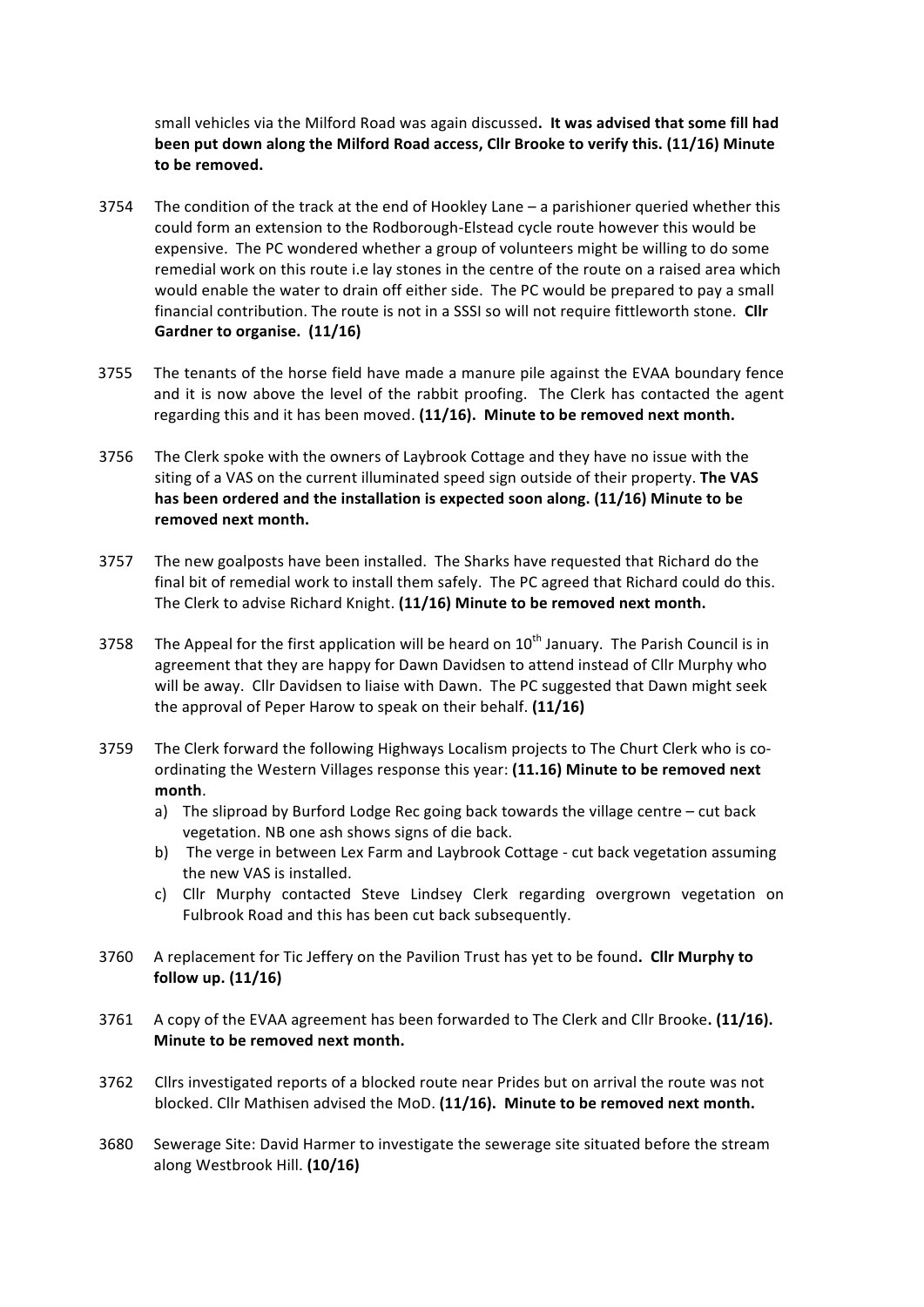small vehicles via the Milford Road was again discussed. It was advised that some fill had been put down along the Milford Road access, Cllr Brooke to verify this. (11/16) Minute to be removed.

- 3754 The condition of the track at the end of Hookley Lane  $-$  a parishioner queried whether this could form an extension to the Rodborough-Elstead cycle route however this would be expensive. The PC wondered whether a group of volunteers might be willing to do some remedial work on this route i.e lay stones in the centre of the route on a raised area which would enable the water to drain off either side. The PC would be prepared to pay a small financial contribution. The route is not in a SSSI so will not require fittleworth stone. Clir Gardner to organise. (11/16)
- 3755 The tenants of the horse field have made a manure pile against the EVAA boundary fence and it is now above the level of the rabbit proofing. The Clerk has contacted the agent regarding this and it has been moved. (11/16). Minute to be removed next month.
- 3756 The Clerk spoke with the owners of Laybrook Cottage and they have no issue with the siting of a VAS on the current illuminated speed sign outside of their property. The VAS has been ordered and the installation is expected soon along. (11/16) Minute to be removed next month.
- 3757 The new goalposts have been installed. The Sharks have requested that Richard do the final bit of remedial work to install them safely. The PC agreed that Richard could do this. The Clerk to advise Richard Knight. (11/16) Minute to be removed next month.
- 3758 The Appeal for the first application will be heard on  $10^{th}$  January. The Parish Council is in agreement that they are happy for Dawn Davidsen to attend instead of Cllr Murphy who will be away. Cllr Davidsen to liaise with Dawn. The PC suggested that Dawn might seek the approval of Peper Harow to speak on their behalf. (11/16)
- 3759 The Clerk forward the following Highways Localism projects to The Churt Clerk who is coordinating the Western Villages response this year: (11.16) Minute to be removed next **month**.
	- a) The sliproad by Burford Lodge Rec going back towards the village centre cut back vegetation. NB one ash shows signs of die back.
	- b) The verge in between Lex Farm and Laybrook Cottage cut back vegetation assuming the new VAS is installed.
	- c) Cllr Murphy contacted Steve Lindsey Clerk regarding overgrown vegetation on Fulbrook Road and this has been cut back subsequently.
- 3760 A replacement for Tic Jeffery on the Pavilion Trust has yet to be found. Clir Murphy to **follow up. (11/16)**
- 3761 A copy of the EVAA agreement has been forwarded to The Clerk and Cllr Brooke. (11/16). **Minute to be removed next month.**
- 3762 Cllrs investigated reports of a blocked route near Prides but on arrival the route was not blocked. Cllr Mathisen advised the MoD. (11/16). Minute to be removed next month.
- 3680 Sewerage Site: David Harmer to investigate the sewerage site situated before the stream along Westbrook Hill. **(10/16)**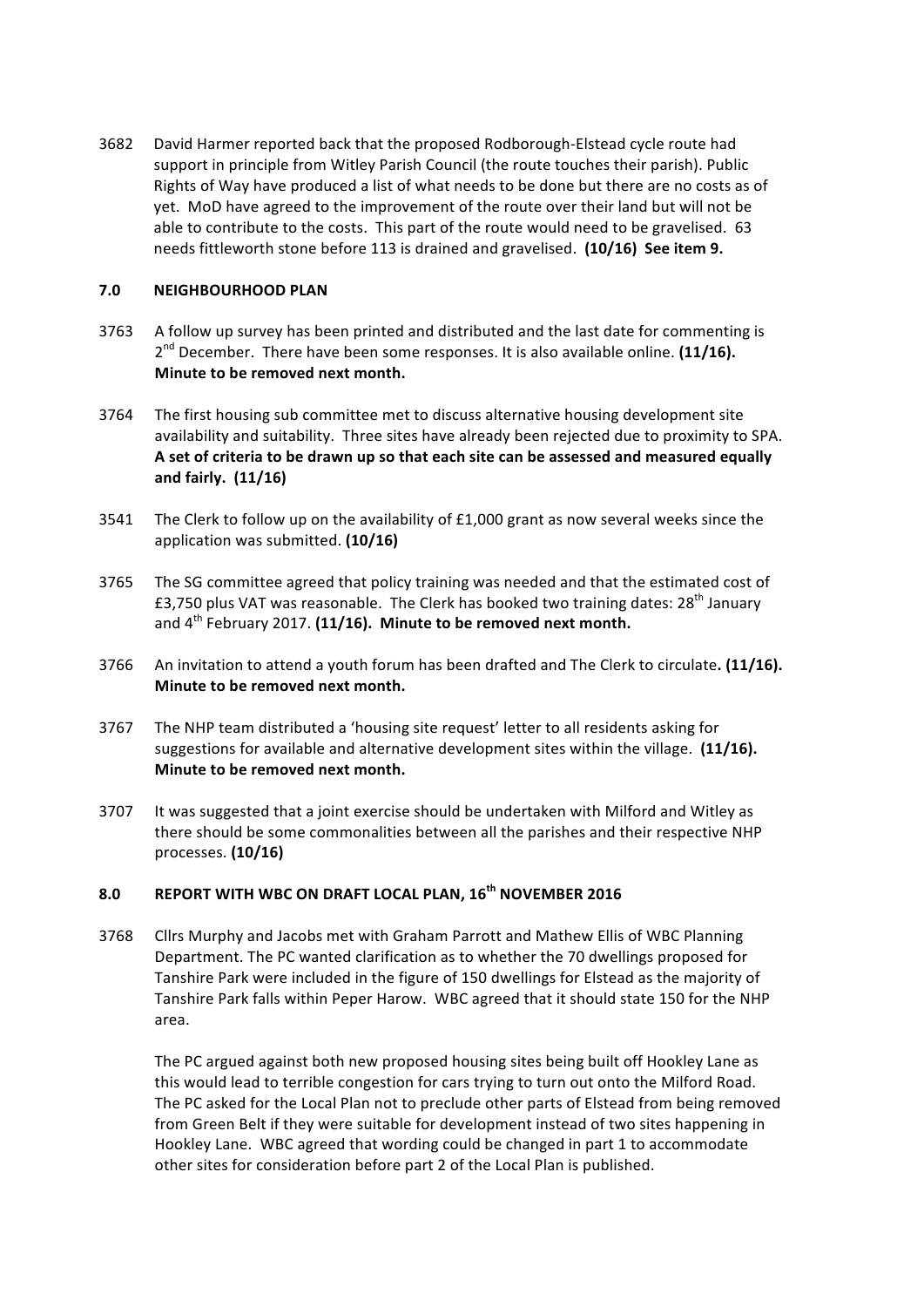3682 David Harmer reported back that the proposed Rodborough-Elstead cycle route had support in principle from Witley Parish Council (the route touches their parish). Public Rights of Way have produced a list of what needs to be done but there are no costs as of yet. MoD have agreed to the improvement of the route over their land but will not be able to contribute to the costs. This part of the route would need to be gravelised. 63 needs fittleworth stone before 113 is drained and gravelised. (10/16) See item 9.

# **7.0 NEIGHBOURHOOD PLAN**

- 3763 A follow up survey has been printed and distributed and the last date for commenting is 2<sup>nd</sup> December. There have been some responses. It is also available online. (11/16). **Minute to be removed next month.**
- 3764 The first housing sub committee met to discuss alternative housing development site availability and suitability. Three sites have already been rejected due to proximity to SPA. A set of criteria to be drawn up so that each site can be assessed and measured equally **and fairly. (11/16)**
- 3541 The Clerk to follow up on the availability of  $£1,000$  grant as now several weeks since the application was submitted. **(10/16)**
- 3765 The SG committee agreed that policy training was needed and that the estimated cost of £3,750 plus VAT was reasonable. The Clerk has booked two training dates:  $28^{th}$  January and  $4<sup>th</sup>$  February 2017. (11/16). Minute to be removed next month.
- 3766 An invitation to attend a youth forum has been drafted and The Clerk to circulate. (11/16). **Minute to be removed next month.**
- 3767 The NHP team distributed a 'housing site request' letter to all residents asking for suggestions for available and alternative development sites within the village. (11/16). **Minute to be removed next month.**
- 3707 It was suggested that a joint exercise should be undertaken with Milford and Witley as there should be some commonalities between all the parishes and their respective NHP processes. **(10/16)**

# **8.0 REPORT WITH WBC ON DRAFT LOCAL PLAN, 16th NOVEMBER 2016**

3768 Cllrs Murphy and Jacobs met with Graham Parrott and Mathew Ellis of WBC Planning Department. The PC wanted clarification as to whether the 70 dwellings proposed for Tanshire Park were included in the figure of 150 dwellings for Elstead as the majority of Tanshire Park falls within Peper Harow. WBC agreed that it should state 150 for the NHP area. 

The PC argued against both new proposed housing sites being built off Hookley Lane as this would lead to terrible congestion for cars trying to turn out onto the Milford Road. The PC asked for the Local Plan not to preclude other parts of Elstead from being removed from Green Belt if they were suitable for development instead of two sites happening in Hookley Lane. WBC agreed that wording could be changed in part 1 to accommodate other sites for consideration before part 2 of the Local Plan is published.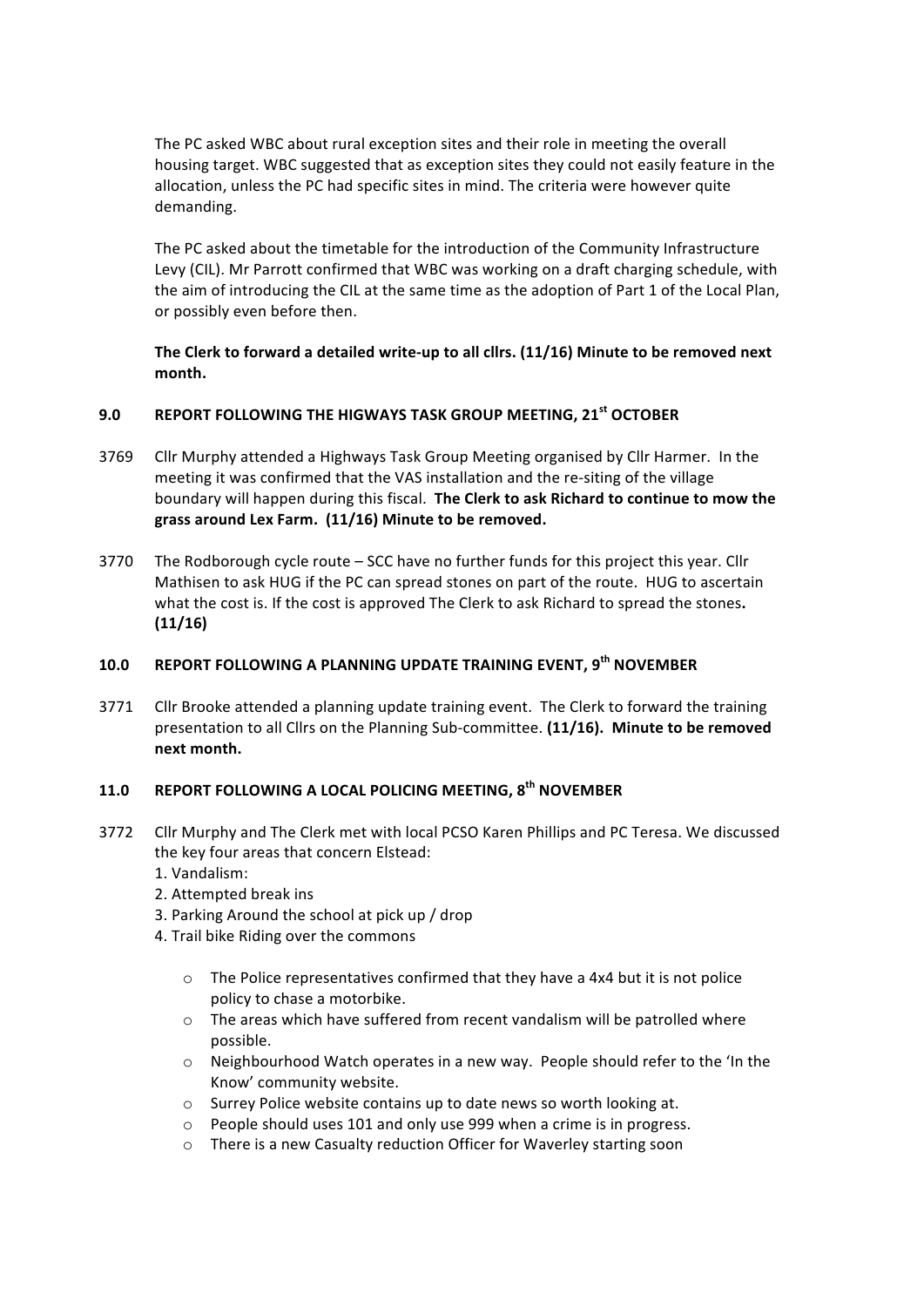The PC asked WBC about rural exception sites and their role in meeting the overall housing target. WBC suggested that as exception sites they could not easily feature in the allocation, unless the PC had specific sites in mind. The criteria were however quite demanding.

The PC asked about the timetable for the introduction of the Community Infrastructure Levy (CIL). Mr Parrott confirmed that WBC was working on a draft charging schedule, with the aim of introducing the CIL at the same time as the adoption of Part 1 of the Local Plan, or possibly even before then.

The Clerk to forward a detailed write-up to all cllrs. (11/16) Minute to be removed next **month.**

# **9.0 REPORT FOLLOWING THE HIGWAYS TASK GROUP MEETING, 21st OCTOBER**

- 3769 Cllr Murphy attended a Highways Task Group Meeting organised by Cllr Harmer. In the meeting it was confirmed that the VAS installation and the re-siting of the village boundary will happen during this fiscal. The Clerk to ask Richard to continue to mow the grass around Lex Farm. (11/16) Minute to be removed.
- 3770 The Rodborough cycle route  $-$  SCC have no further funds for this project this year. Cllr Mathisen to ask HUG if the PC can spread stones on part of the route. HUG to ascertain what the cost is. If the cost is approved The Clerk to ask Richard to spread the stones. **(11/16)**

# **10.0** REPORT FOLLOWING A PLANNING UPDATE TRAINING EVENT, 9<sup>th</sup> NOVEMBER

3771 Cllr Brooke attended a planning update training event. The Clerk to forward the training presentation to all Cllrs on the Planning Sub-committee. (11/16). Minute to be removed **next month.**

# 11.0 **REPORT FOLLOWING A LOCAL POLICING MEETING, 8<sup>th</sup> NOVEMBER**

- 3772 Cllr Murphy and The Clerk met with local PCSO Karen Phillips and PC Teresa. We discussed the key four areas that concern Elstead:
	- 1. Vandalism:
	- 2. Attempted break ins
	- 3. Parking Around the school at pick up / drop
	- 4. Trail bike Riding over the commons
		- $\circ$  The Police representatives confirmed that they have a 4x4 but it is not police policy to chase a motorbike.
		- $\circ$  The areas which have suffered from recent vandalism will be patrolled where possible.
		- $\circ$  Neighbourhood Watch operates in a new way. People should refer to the 'In the Know' community website.
		- o Surrey Police website contains up to date news so worth looking at.
		- $\circ$  People should uses 101 and only use 999 when a crime is in progress.
		- $\circ$  There is a new Casualty reduction Officer for Waverley starting soon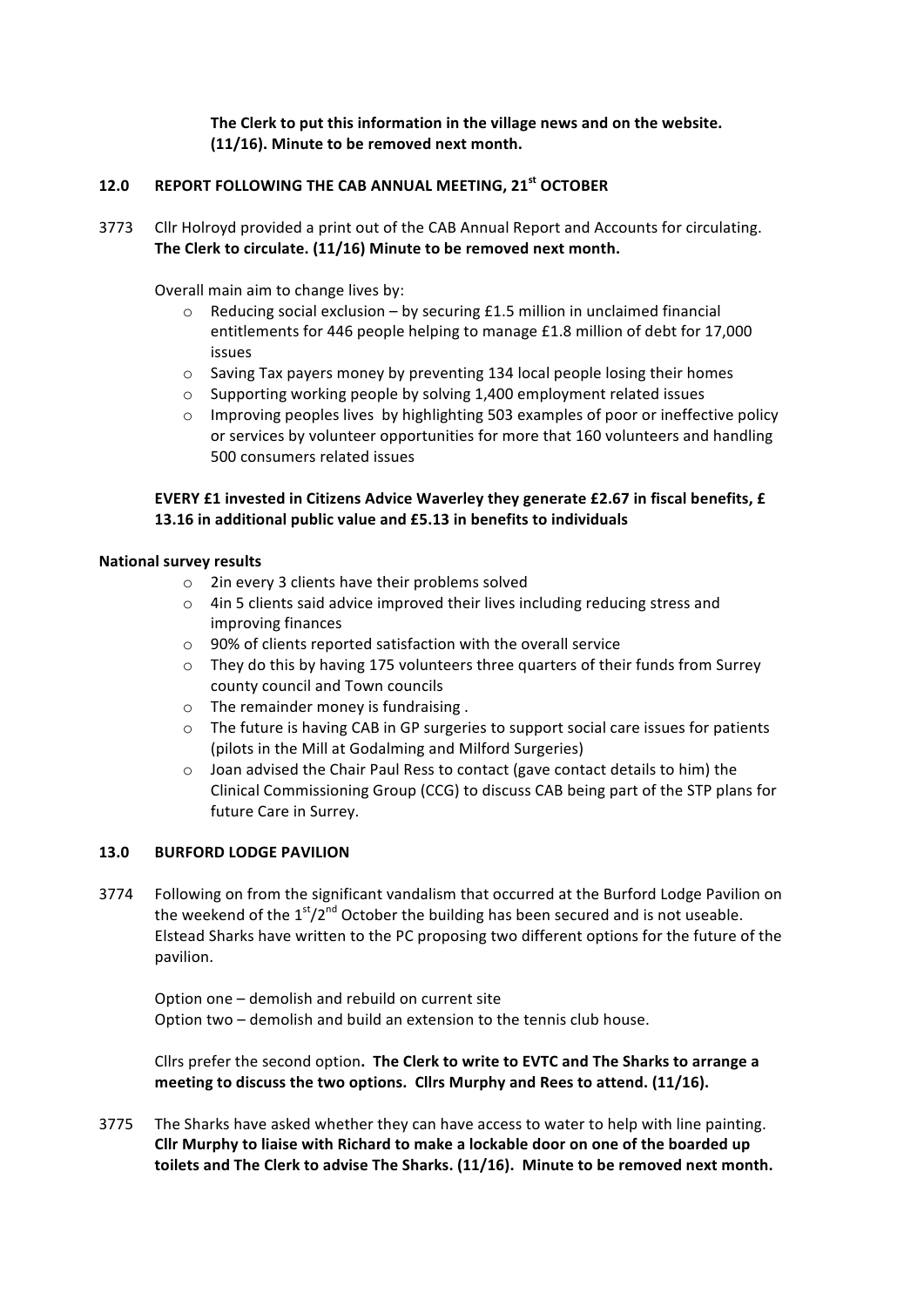# The Clerk to put this information in the village news and on the website. (11/16). Minute to be removed next month.

# **12.0 REPORT FOLLOWING THE CAB ANNUAL MEETING, 21st OCTOBER**

3773 Cllr Holroyd provided a print out of the CAB Annual Report and Accounts for circulating. The Clerk to circulate. (11/16) Minute to be removed next month.

Overall main aim to change lives by:

- $\circ$  Reducing social exclusion by securing £1.5 million in unclaimed financial entitlements for 446 people helping to manage £1.8 million of debt for 17,000 issues
- $\circ$  Saving Tax payers money by preventing 134 local people losing their homes
- $\circ$  Supporting working people by solving 1,400 employment related issues
- $\circ$  Improving peoples lives by highlighting 503 examples of poor or ineffective policy or services by volunteer opportunities for more that 160 volunteers and handling 500 consumers related issues

# **EVERY £1 invested in Citizens Advice Waverley they generate £2.67 in fiscal benefits, £ 13.16** in additional public value and £5.13 in benefits to individuals

## **National survey results**

- $\circ$  2in every 3 clients have their problems solved
- o 4in 5 clients said advice improved their lives including reducing stress and improving finances
- $\circ$  90% of clients reported satisfaction with the overall service
- $\circ$  They do this by having 175 volunteers three quarters of their funds from Surrey county council and Town councils
- $\circ$  The remainder money is fundraising.
- $\circ$  The future is having CAB in GP surgeries to support social care issues for patients (pilots in the Mill at Godalming and Milford Surgeries)
- $\circ$  Joan advised the Chair Paul Ress to contact (gave contact details to him) the Clinical Commissioning Group (CCG) to discuss CAB being part of the STP plans for future Care in Surrey.

# **13.0 BURFORD LODGE PAVILION**

3774 Following on from the significant vandalism that occurred at the Burford Lodge Pavilion on the weekend of the  $1<sup>st</sup>/2<sup>nd</sup>$  October the building has been secured and is not useable. Elstead Sharks have written to the PC proposing two different options for the future of the pavilion. 

Option one – demolish and rebuild on current site Option two – demolish and build an extension to the tennis club house.

Cllrs prefer the second option. The Clerk to write to EVTC and The Sharks to arrange a meeting to discuss the two options. Cllrs Murphy and Rees to attend. (11/16).

3775 The Sharks have asked whether they can have access to water to help with line painting. Cllr Murphy to liaise with Richard to make a lockable door on one of the boarded up toilets and The Clerk to advise The Sharks. (11/16). Minute to be removed next month.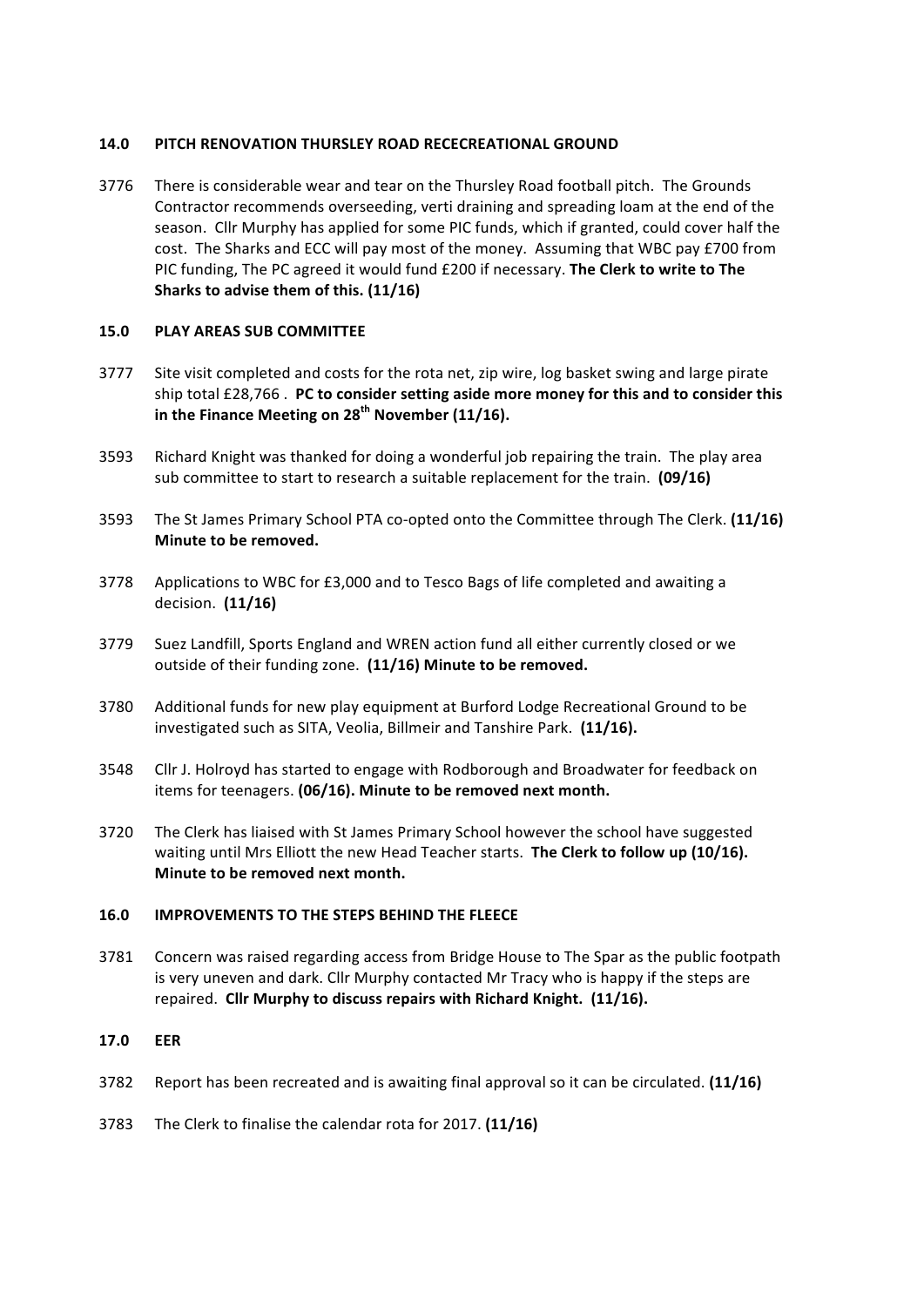# **14.0 PITCH RENOVATION THURSLEY ROAD RECECREATIONAL GROUND**

3776 There is considerable wear and tear on the Thursley Road football pitch. The Grounds Contractor recommends overseeding, verti draining and spreading loam at the end of the season. Cllr Murphy has applied for some PIC funds, which if granted, could cover half the cost. The Sharks and ECC will pay most of the money. Assuming that WBC pay £700 from PIC funding, The PC agreed it would fund £200 if necessary. **The Clerk to write to The Sharks** to advise them of this. (11/16)

## **15.0 PLAY AREAS SUB COMMITTEE**

- 3777 Site visit completed and costs for the rota net, zip wire, log basket swing and large pirate ship total £28,766 . PC to consider setting aside more money for this and to consider this in the Finance Meeting on 28<sup>th</sup> November (11/16).
- 3593 Richard Knight was thanked for doing a wonderful job repairing the train. The play area sub committee to start to research a suitable replacement for the train. **(09/16)**
- 3593 The St James Primary School PTA co-opted onto the Committee through The Clerk. (11/16) **Minute to be removed.**
- 3778 Applications to WBC for  $£3,000$  and to Tesco Bags of life completed and awaiting a decision. (11/16)
- 3779 Suez Landfill, Sports England and WREN action fund all either currently closed or we outside of their funding zone. (11/16) Minute to be removed.
- 3780 Additional funds for new play equipment at Burford Lodge Recreational Ground to be investigated such as SITA, Veolia, Billmeir and Tanshire Park. (11/16).
- 3548 Cllr J. Holroyd has started to engage with Rodborough and Broadwater for feedback on items for teenagers. (06/16). Minute to be removed next month.
- 3720 The Clerk has liaised with St James Primary School however the school have suggested waiting until Mrs Elliott the new Head Teacher starts. The Clerk to follow up (10/16). **Minute to be removed next month.**

### 16.0 **IMPROVEMENTS TO THE STEPS BEHIND THE FLEECE**

3781 Concern was raised regarding access from Bridge House to The Spar as the public footpath is very uneven and dark. Cllr Murphy contacted Mr Tracy who is happy if the steps are repaired. Cllr Murphy to discuss repairs with Richard Knight. (11/16).

#### **17.0 EER**

- 3782 Report has been recreated and is awaiting final approval so it can be circulated. **(11/16)**
- 3783 The Clerk to finalise the calendar rota for 2017. (11/16)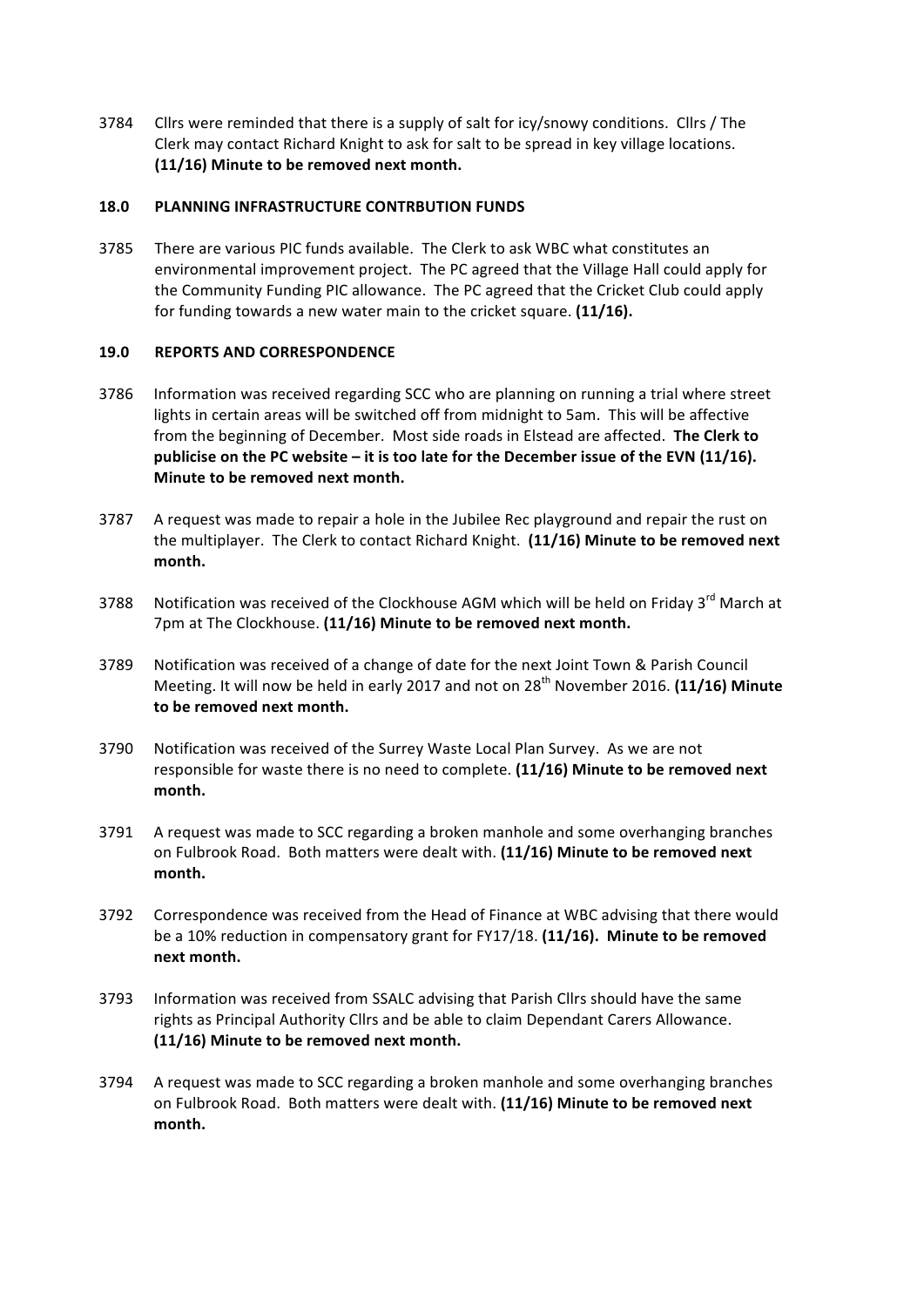3784 Cllrs were reminded that there is a supply of salt for icy/snowy conditions. Cllrs / The Clerk may contact Richard Knight to ask for salt to be spread in key village locations. **(11/16) Minute to be removed next month.**

# **18.0 PLANNING INFRASTRUCTURE CONTRBUTION FUNDS**

3785 There are various PIC funds available. The Clerk to ask WBC what constitutes an environmental improvement project. The PC agreed that the Village Hall could apply for the Community Funding PIC allowance. The PC agreed that the Cricket Club could apply for funding towards a new water main to the cricket square. (11/16).

# **19.0 REPORTS AND CORRESPONDENCE**

- 3786 Information was received regarding SCC who are planning on running a trial where street lights in certain areas will be switched off from midnight to 5am. This will be affective from the beginning of December. Most side roads in Elstead are affected. The Clerk to publicise on the PC website – it is too late for the December issue of the EVN (11/16). **Minute to be removed next month.**
- 3787 A request was made to repair a hole in the Jubilee Rec playground and repair the rust on the multiplayer. The Clerk to contact Richard Knight. (11/16) Minute to be removed next **month.**
- 3788 Notification was received of the Clockhouse AGM which will be held on Friday 3<sup>rd</sup> March at 7pm at The Clockhouse. (11/16) Minute to be removed next month.
- 3789 Notification was received of a change of date for the next Joint Town & Parish Council Meeting. It will now be held in early 2017 and not on 28<sup>th</sup> November 2016. **(11/16) Minute** to be removed next month.
- 3790 Notification was received of the Surrey Waste Local Plan Survey. As we are not responsible for waste there is no need to complete. (11/16) Minute to be removed next **month.**
- 3791 A request was made to SCC regarding a broken manhole and some overhanging branches on Fulbrook Road. Both matters were dealt with. (11/16) Minute to be removed next month.
- 3792 Correspondence was received from the Head of Finance at WBC advising that there would be a 10% reduction in compensatory grant for FY17/18. (11/16). Minute to be removed **next month.**
- 3793 Information was received from SSALC advising that Parish Cllrs should have the same rights as Principal Authority Cllrs and be able to claim Dependant Carers Allowance. (11/16) Minute to be removed next month.
- 3794 A request was made to SCC regarding a broken manhole and some overhanging branches on Fulbrook Road. Both matters were dealt with. (11/16) Minute to be removed next **month.**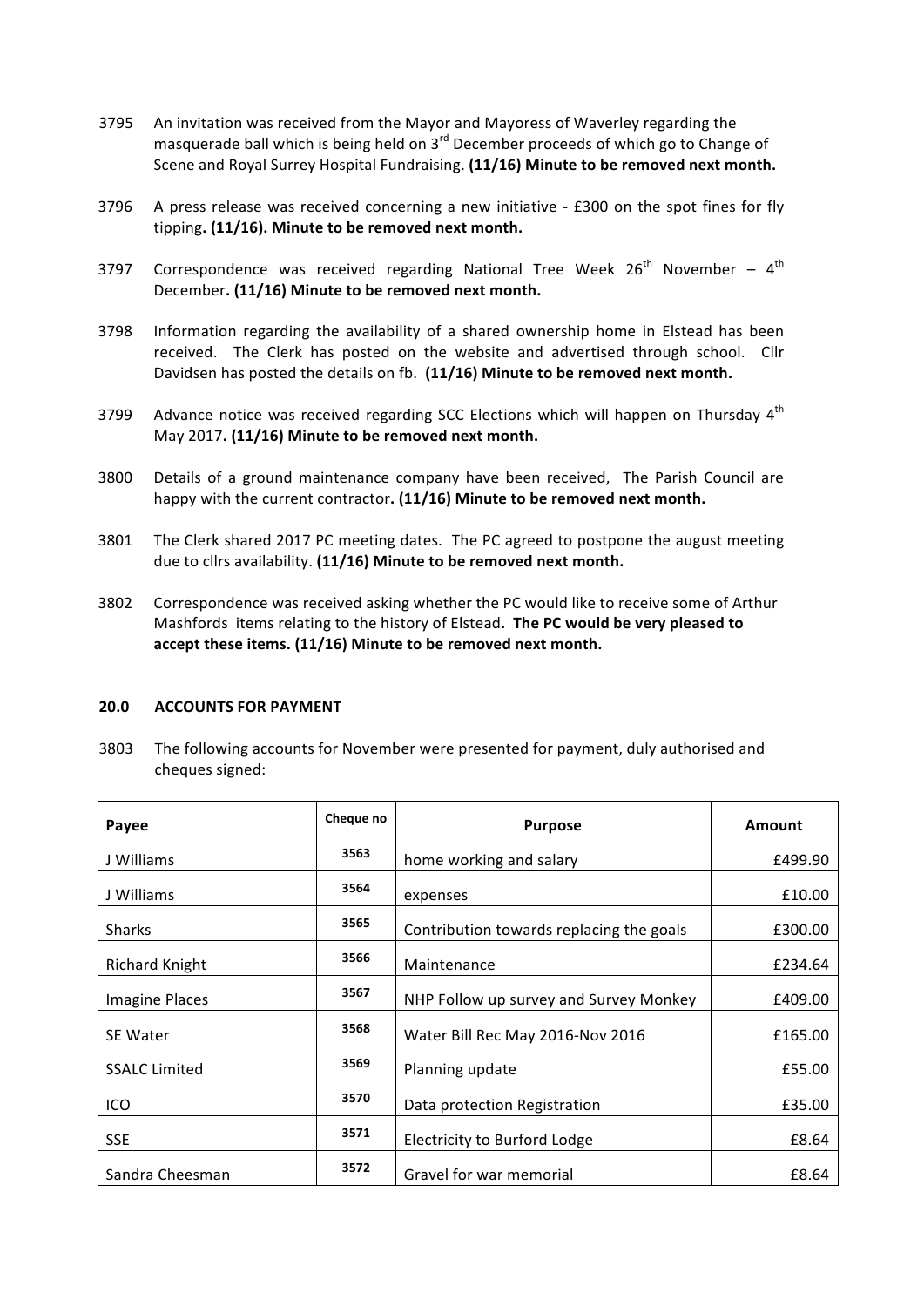- 3795 An invitation was received from the Mayor and Mayoress of Waverley regarding the masquerade ball which is being held on  $3<sup>rd</sup>$  December proceeds of which go to Change of Scene and Royal Surrey Hospital Fundraising. **(11/16) Minute to be removed next month.**
- 3796 A press release was received concerning a new initiative  $-$  £300 on the spot fines for fly tipping. (11/16). Minute to be removed next month.
- 3797 Correspondence was received regarding National Tree Week  $26<sup>th</sup>$  November  $4<sup>th</sup>$ December. (11/16) Minute to be removed next month.
- 3798 Information regarding the availability of a shared ownership home in Elstead has been received. The Clerk has posted on the website and advertised through school. Cllr Davidsen has posted the details on fb. (11/16) Minute to be removed next month.
- 3799 Advance notice was received regarding SCC Elections which will happen on Thursday  $4<sup>th</sup>$ May 2017. (11/16) Minute to be removed next month.
- 3800 Details of a ground maintenance company have been received, The Parish Council are happy with the current contractor. (11/16) Minute to be removed next month.
- 3801 The Clerk shared 2017 PC meeting dates. The PC agreed to postpone the august meeting due to cllrs availability. (11/16) Minute to be removed next month.
- 3802 Correspondence was received asking whether the PC would like to receive some of Arthur Mashfords items relating to the history of Elstead. The PC would be very pleased to accept these items. (11/16) Minute to be removed next month.

### **20.0 ACCOUNTS FOR PAYMENT**

3803 The following accounts for November were presented for payment, duly authorised and cheques signed:

| Payee                 | Cheque no | <b>Purpose</b>                           | Amount  |
|-----------------------|-----------|------------------------------------------|---------|
| J Williams            | 3563      | home working and salary                  | £499.90 |
| J Williams            | 3564      | expenses                                 | £10.00  |
| <b>Sharks</b>         | 3565      | Contribution towards replacing the goals | £300.00 |
| <b>Richard Knight</b> | 3566      | Maintenance                              | £234.64 |
| <b>Imagine Places</b> | 3567      | NHP Follow up survey and Survey Monkey   | £409.00 |
| <b>SE Water</b>       | 3568      | Water Bill Rec May 2016-Nov 2016         | £165.00 |
| <b>SSALC Limited</b>  | 3569      | Planning update                          | £55.00  |
| ICO                   | 3570      | Data protection Registration             | £35.00  |
| SSE                   | 3571      | Electricity to Burford Lodge             | £8.64   |
| Sandra Cheesman       | 3572      | Gravel for war memorial                  | £8.64   |